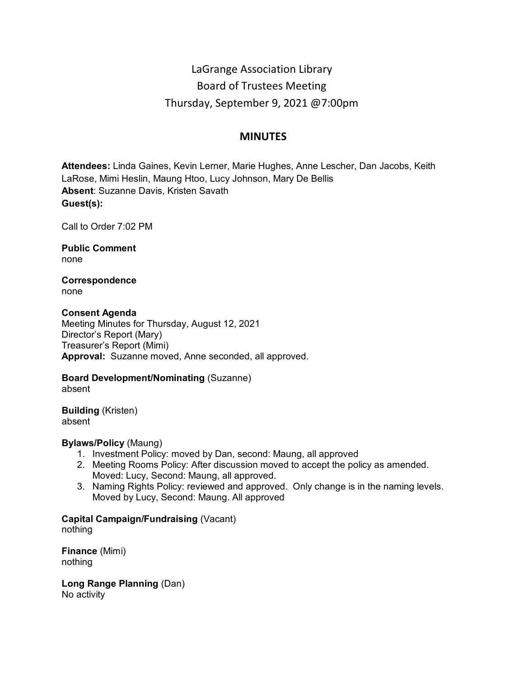# LaGrange Association Library Board of Trustees Meeting Thursday, September 9, 2021 @7:00pm

# **MINUTES**

**Attendees:** Linda Gaines, Kevin Lerner, Marie Hughes, Anne Lescher, Dan Jacobs, Keith LaRose, Mimi Heslin, Maung Htoo, Lucy Johnson, Mary De Bellis **Absent**: Suzanne Davis, Kristen Savath **Guest(s):**

Call to Order 7:02 PM

**Public Comment** none

**Correspondence** none

# **Consent Agenda**

Meeting Minutes for Thursday, August 12, 2021 Director's Report (Mary) Treasurer's Report (Mimi) **Approval:** Suzanne moved, Anne seconded, all approved.

**Board Development/Nominating** (Suzanne)

absent

**Building** (Kristen) absent

# **Bylaws/Policy** (Maung)

- 1. Investment Policy: moved by Dan, second: Maung, all approved
- 2. Meeting Rooms Policy: After discussion moved to accept the policy as amended. Moved: Lucy, Second: Maung, all approved.
- 3. Naming Rights Policy: reviewed and approved. Only change is in the naming levels. Moved by Lucy, Second: Maung. All approved

# **Capital Campaign/Fundraising** (Vacant)

nothing

**Finance** (Mimi) nothing

**Long Range Planning** (Dan) No activity